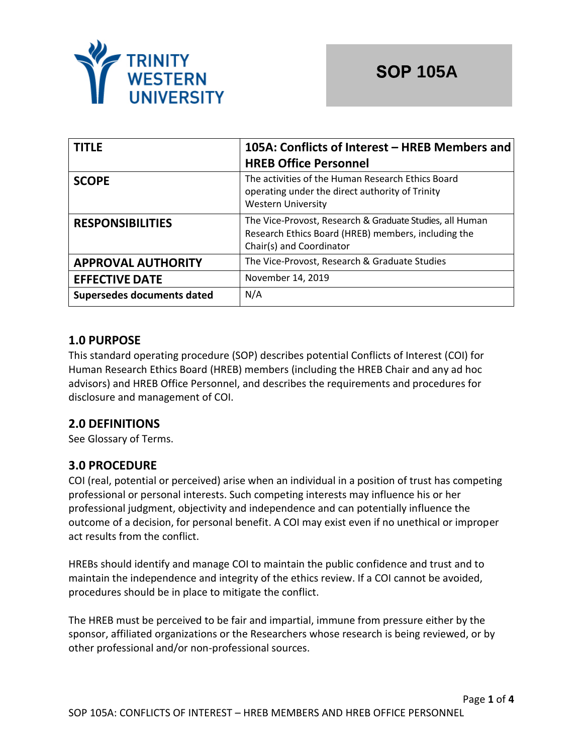

| <b>TITLE</b>               | 105A: Conflicts of Interest - HREB Members and<br><b>HREB Office Personnel</b>                                                              |
|----------------------------|---------------------------------------------------------------------------------------------------------------------------------------------|
| <b>SCOPE</b>               | The activities of the Human Research Ethics Board<br>operating under the direct authority of Trinity<br><b>Western University</b>           |
| <b>RESPONSIBILITIES</b>    | The Vice-Provost, Research & Graduate Studies, all Human<br>Research Ethics Board (HREB) members, including the<br>Chair(s) and Coordinator |
| <b>APPROVAL AUTHORITY</b>  | The Vice-Provost, Research & Graduate Studies                                                                                               |
| <b>EFFECTIVE DATE</b>      | November 14, 2019                                                                                                                           |
| Supersedes documents dated | N/A                                                                                                                                         |

## **1.0 PURPOSE**

This standard operating procedure (SOP) describes potential Conflicts of Interest (COI) for Human Research Ethics Board (HREB) members (including the HREB Chair and any ad hoc advisors) and HREB Office Personnel, and describes the requirements and procedures for disclosure and management of COI.

# **2.0 DEFINITIONS**

See Glossary of Terms.

## **3.0 PROCEDURE**

COI (real, potential or perceived) arise when an individual in a position of trust has competing professional or personal interests. Such competing interests may influence his or her professional judgment, objectivity and independence and can potentially influence the outcome of a decision, for personal benefit. A COI may exist even if no unethical or improper act results from the conflict.

HREBs should identify and manage COI to maintain the public confidence and trust and to maintain the independence and integrity of the ethics review. If a COI cannot be avoided, procedures should be in place to mitigate the conflict.

The HREB must be perceived to be fair and impartial, immune from pressure either by the sponsor, affiliated organizations or the Researchers whose research is being reviewed, or by other professional and/or non-professional sources.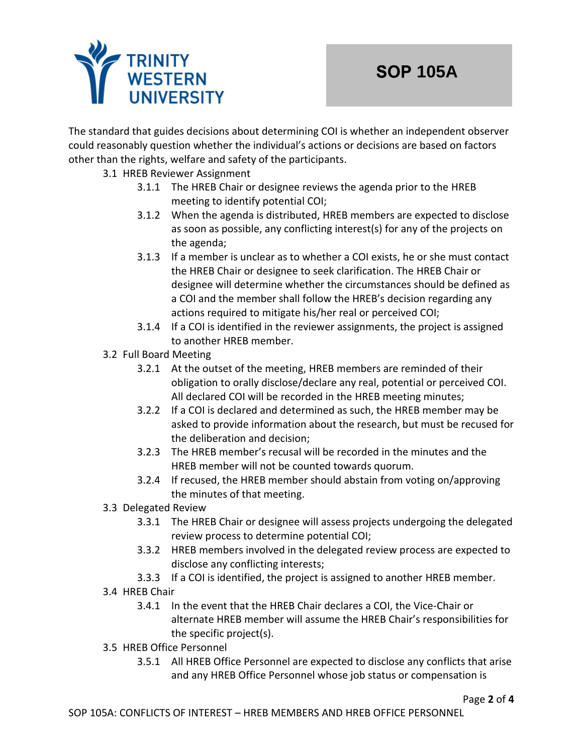

The standard that guides decisions about determining COI is whether an independent observer could reasonably question whether the individual's actions or decisions are based on factors other than the rights, welfare and safety of the participants.

#### 3.1 HREB Reviewer Assignment

- 3.1.1 The HREB Chair or designee reviews the agenda prior to the HREB meeting to identify potential COI;
- 3.1.2 When the agenda is distributed, HREB members are expected to disclose as soon as possible, any conflicting interest(s) for any of the projects on the agenda;
- 3.1.3 If a member is unclear as to whether a COI exists, he or she must contact the HREB Chair or designee to seek clarification. The HREB Chair or designee will determine whether the circumstances should be defined as a COI and the member shall follow the HREB's decision regarding any actions required to mitigate his/her real or perceived COI;
- 3.1.4 If a COI is identified in the reviewer assignments, the project is assigned to another HREB member.
- 3.2 Full Board Meeting
	- 3.2.1 At the outset of the meeting, HREB members are reminded of their obligation to orally disclose/declare any real, potential or perceived COI. All declared COI will be recorded in the HREB meeting minutes;
	- 3.2.2 If a COI is declared and determined as such, the HREB member may be asked to provide information about the research, but must be recused for the deliberation and decision;
	- 3.2.3 The HREB member's recusal will be recorded in the minutes and the HREB member will not be counted towards quorum.
	- 3.2.4 If recused, the HREB member should abstain from voting on/approving the minutes of that meeting.
- 3.3 Delegated Review
	- 3.3.1 The HREB Chair or designee will assess projects undergoing the delegated review process to determine potential COI;
	- 3.3.2 HREB members involved in the delegated review process are expected to disclose any conflicting interests;
	- 3.3.3 If a COI is identified, the project is assigned to another HREB member.
- 3.4 HREB Chair
	- 3.4.1 In the event that the HREB Chair declares a COI, the Vice-Chair or alternate HREB member will assume the HREB Chair's responsibilities for the specific project(s).
- 3.5 HREB Office Personnel
	- 3.5.1 All HREB Office Personnel are expected to disclose any conflicts that arise and any HREB Office Personnel whose job status or compensation is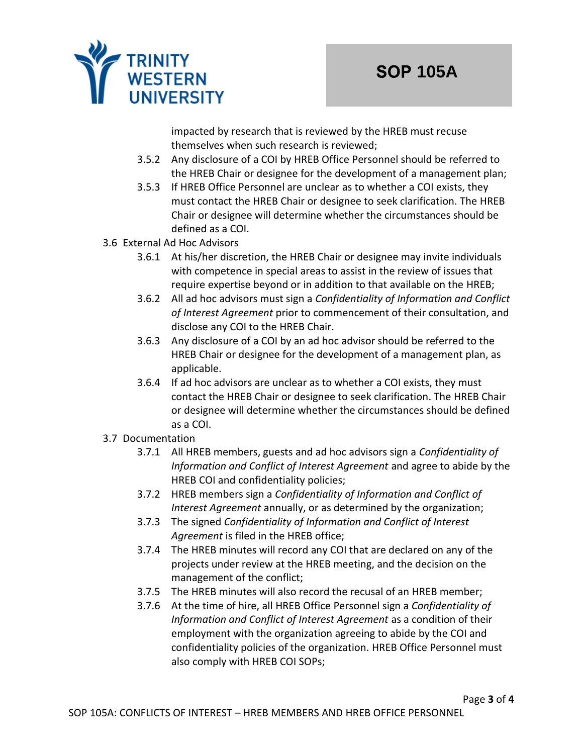

impacted by research that is reviewed by the HREB must recuse themselves when such research is reviewed;

- 3.5.2 Any disclosure of a COI by HREB Office Personnel should be referred to the HREB Chair or designee for the development of a management plan;
- 3.5.3 If HREB Office Personnel are unclear as to whether a COI exists, they must contact the HREB Chair or designee to seek clarification. The HREB Chair or designee will determine whether the circumstances should be defined as a COI.
- 3.6 External Ad Hoc Advisors
	- 3.6.1 At his/her discretion, the HREB Chair or designee may invite individuals with competence in special areas to assist in the review of issues that require expertise beyond or in addition to that available on the HREB;
	- 3.6.2 All ad hoc advisors must sign a *Confidentiality of Information and Conflict of Interest Agreement* prior to commencement of their consultation, and disclose any COI to the HREB Chair.
	- 3.6.3 Any disclosure of a COI by an ad hoc advisor should be referred to the HREB Chair or designee for the development of a management plan, as applicable.
	- 3.6.4 If ad hoc advisors are unclear as to whether a COI exists, they must contact the HREB Chair or designee to seek clarification. The HREB Chair or designee will determine whether the circumstances should be defined as a COI.
- 3.7 Documentation
	- 3.7.1 All HREB members, guests and ad hoc advisors sign a *Confidentiality of Information and Conflict of Interest Agreement* and agree to abide by the HREB COI and confidentiality policies;
	- 3.7.2 HREB members sign a *Confidentiality of Information and Conflict of Interest Agreement* annually, or as determined by the organization;
	- 3.7.3 The signed *Confidentiality of Information and Conflict of Interest Agreement* is filed in the HREB office;
	- 3.7.4 The HREB minutes will record any COI that are declared on any of the projects under review at the HREB meeting, and the decision on the management of the conflict;
	- 3.7.5 The HREB minutes will also record the recusal of an HREB member;
	- 3.7.6 At the time of hire, all HREB Office Personnel sign a *Confidentiality of Information and Conflict of Interest Agreement* as a condition of their employment with the organization agreeing to abide by the COI and confidentiality policies of the organization. HREB Office Personnel must also comply with HREB COI SOPs;